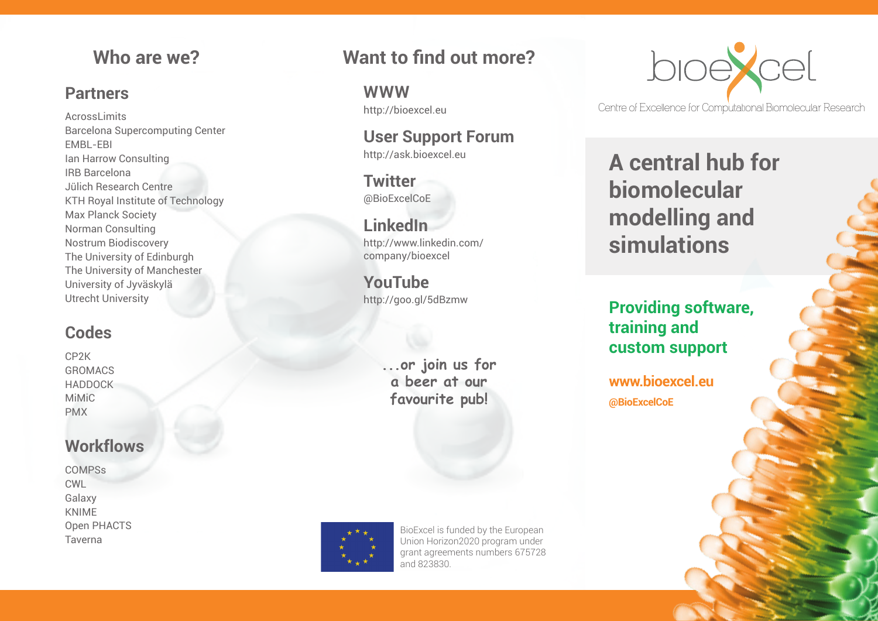#### **Partners**

AcrossLimits Barcelona Supercomputing Center EMBL-EBI Ian Harrow Consulting IRB Barcelona Jülich Research Centre KTH Royal Institute of Technology Max Planck Society Norman Consulting Nostrum Biodiscovery The University of Edinburgh The University of Manchester University of Jyväskylä Utrecht University

#### **Codes**

CP2K **GROMACS** HADDOCK MiMiC PMX

#### **Workflows**

COMPSs CWL Galaxy KNIME Open PHACTS Taverna

# **Who are we? Want to find out more?**

**WWW** http://bioexcel.eu

**User Support Forum** http://ask.bioexcel.eu

**Twitter** @BioExcelCoE

**LinkedIn** http://www.linkedin.com/ company/bioexcel

**YouTube** http://goo.gl/5dBzmw

> **...or join us for a beer at our favourite pub!**



BioExcel is funded by the European Union Horizon2020 program under grant agreements numbers 675728 and 823830.



Centre of Excellence for Computational Biomolecular Research

**A central hub for biomolecular modelling and simulations**

**Providing software, training and custom support**

**@BioExcelCoE www.bioexcel.eu**